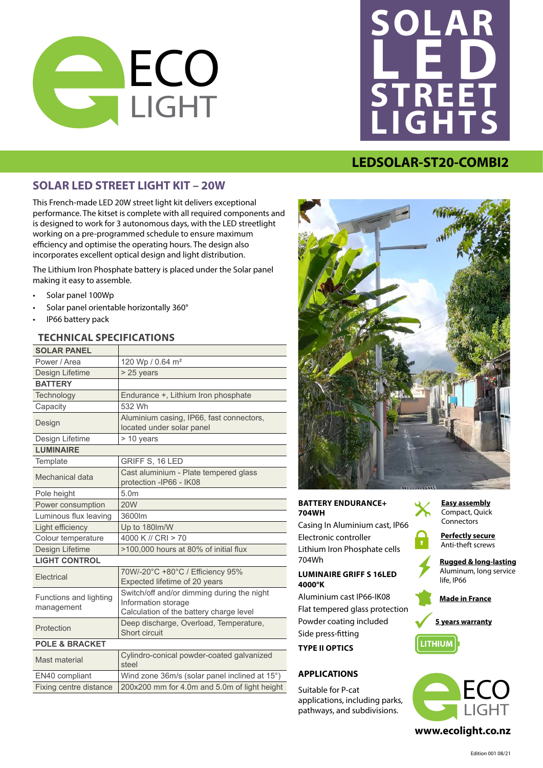



## **LEDSOLAR-ST20-COMBI2**

### **SOLAR LED STREET LIGHT KIT – 20W**

This French-made LED 20W street light kit delivers exceptional performance. The kitset is complete with all required components and is designed to work for 3 autonomous days, with the LED streetlight working on a pre-programmed schedule to ensure maximum efficiency and optimise the operating hours. The design also incorporates excellent optical design and light distribution.

The Lithium Iron Phosphate battery is placed under the Solar panel making it easy to assemble.

- Solar panel 100Wp
- Solar panel orientable horizontally 360°
- IP66 battery pack

### **TECHNICAL SPECIFICATIONS**

| <b>SOLAR PANEL</b>                   |                                                                                                              |
|--------------------------------------|--------------------------------------------------------------------------------------------------------------|
| Power / Area                         | 120 Wp / 0.64 m <sup>2</sup>                                                                                 |
| Design Lifetime                      | $> 25$ years                                                                                                 |
| <b>BATTERY</b>                       |                                                                                                              |
| Technology                           | Endurance +, Lithium Iron phosphate                                                                          |
| Capacity                             | 532 Wh                                                                                                       |
| Design                               | Aluminium casing, IP66, fast connectors,<br>located under solar panel                                        |
| Design Lifetime                      | > 10 years                                                                                                   |
| <b>LUMINAIRE</b>                     |                                                                                                              |
| Template                             | <b>GRIFF S, 16 LED</b>                                                                                       |
| Mechanical data                      | Cast aluminium - Plate tempered glass<br>protection -IP66 - IK08                                             |
| Pole height                          | 5.0 <sub>m</sub>                                                                                             |
| Power consumption                    | <b>20W</b>                                                                                                   |
| Luminous flux leaving                | 3600lm                                                                                                       |
| Light efficiency                     | Up to 180lm/W                                                                                                |
| Colour temperature                   | 4000 K // CRI > 70                                                                                           |
| Design Lifetime                      | >100,000 hours at 80% of initial flux                                                                        |
| <b>LIGHT CONTROL</b>                 |                                                                                                              |
| <b>Flectrical</b>                    | 70W/-20°C +80°C / Efficiency 95%<br>Expected lifetime of 20 years                                            |
| Functions and lighting<br>management | Switch/off and/or dimming during the night<br>Information storage<br>Calculation of the battery charge level |
| Protection                           | Deep discharge, Overload, Temperature,<br>Short circuit                                                      |
| <b>POLE &amp; BRACKET</b>            |                                                                                                              |
| Mast material                        | Cylindro-conical powder-coated galvanized<br>steel                                                           |
| EN40 compliant                       | Wind zone 36m/s (solar panel inclined at 15°)                                                                |
| Fixing centre distance               | 200x200 mm for 4.0m and 5.0m of light height                                                                 |



#### **BATTERY ENDURANCE+ 704WH**

Casing In Aluminium cast, IP66 Electronic controller Lithium Iron Phosphate cells **Easy assembly** 704Wh Compact, Quick **Easy assembly**

## **LUMINAIRE GRIFF S 16LED 4000°K** Connectors

Aluminium cast IP66-IK08 Flat tempered glass protection **Rugged & long-lasting Rowder coating included Aluminum, Side press-fitting TYPE II OPTICS** Fiat temper anti-terms and case<br>Hat tempered g

#### **APPLICATIONS**

ght height suitable for P-cat applications, including parks, pathways, and subdivisions. Lighting duration after dusk 5.00 hours *Dimming Mode*



**Perfectly secure Anti-theft screws** 

Anti-there screws **Rugged & long-lasting** Aluminum, long service **Rugged & long-lasting** Aluminum, long service life, IP66

*Permanent mode at Pnom* **5 years warranty Made in France Made in France** *Permanent mode at Pnom*

**5 years warranty**





Lighting duration before dawn

# $x^2 + y^2 = 0$  **of the DELAY of Lighting**  $\alpha$